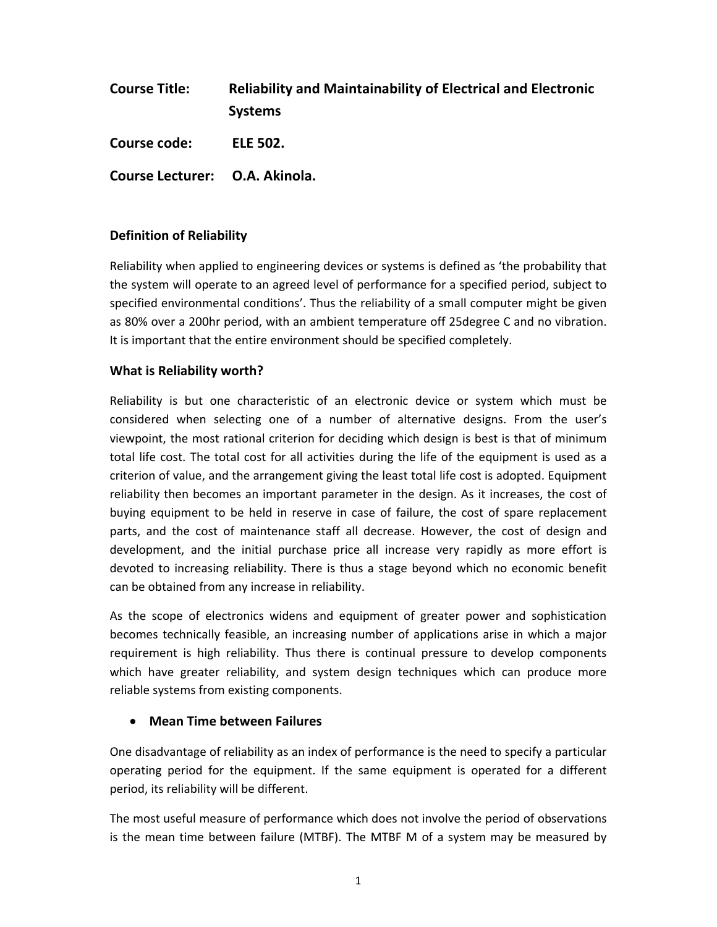| <b>Course Title:</b> | <b>Reliability and Maintainability of Electrical and Electronic</b> |
|----------------------|---------------------------------------------------------------------|
|                      | <b>Systems</b>                                                      |
| <b>Course code:</b>  | <b>ELE 502.</b>                                                     |

**Course Lecturer: O.A. Akinola.** 

# **Definition of Reliability**

Reliability when applied to engineering devices or systems is defined as 'the probability that the system will operate to an agreed level of performance for a specified period, subject to specified environmental conditions'. Thus the reliability of a small computer might be given as 80% over a 200hr period, with an ambient temperature off 25degree C and no vibration. It is important that the entire environment should be specified completely.

# **What is Reliability worth?**

Reliability is but one characteristic of an electronic device or system which must be considered when selecting one of a number of alternative designs. From the user's viewpoint, the most rational criterion for deciding which design is best is that of minimum total life cost. The total cost for all activities during the life of the equipment is used as a criterion of value, and the arrangement giving the least total life cost is adopted. Equipment reliability then becomes an important parameter in the design. As it increases, the cost of buying equipment to be held in reserve in case of failure, the cost of spare replacement parts, and the cost of maintenance staff all decrease. However, the cost of design and development, and the initial purchase price all increase very rapidly as more effort is devoted to increasing reliability. There is thus a stage beyond which no economic benefit can be obtained from any increase in reliability.

As the scope of electronics widens and equipment of greater power and sophistication becomes technically feasible, an increasing number of applications arise in which a major requirement is high reliability. Thus there is continual pressure to develop components which have greater reliability, and system design techniques which can produce more reliable systems from existing components.

## • **Mean Time between Failures**

One disadvantage of reliability as an index of performance is the need to specify a particular operating period for the equipment. If the same equipment is operated for a different period, its reliability will be different.

The most useful measure of performance which does not involve the period of observations is the mean time between failure (MTBF). The MTBF M of a system may be measured by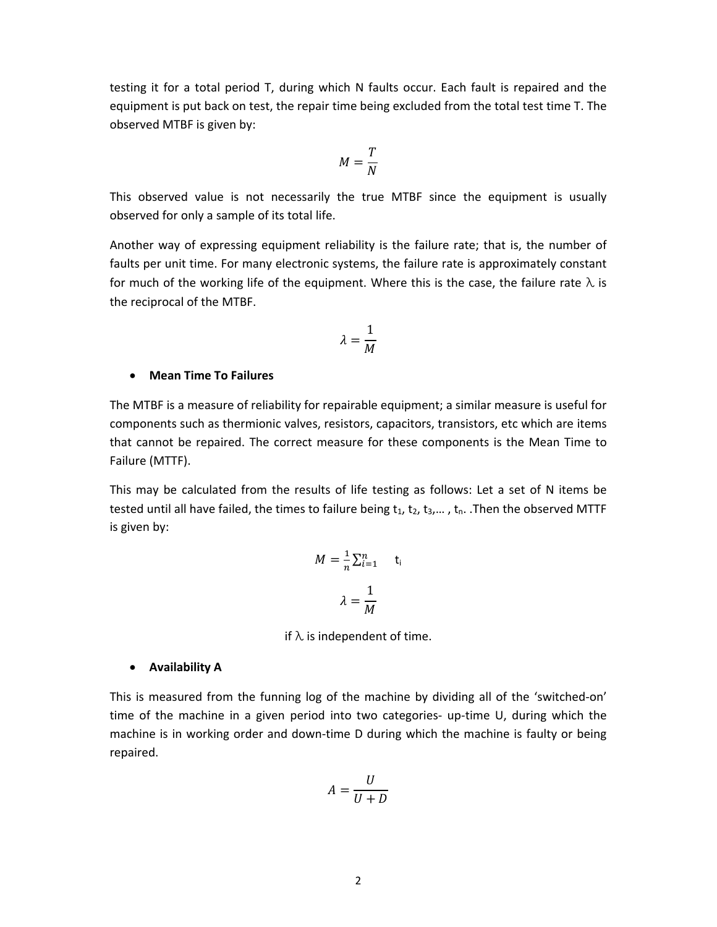testing it for a total period T, during which N faults occur. Each fault is repaired and the equipment is put back on test, the repair time being excluded from the total test time T. The observed MTBF is given by:

$$
M=\frac{T}{N}
$$

This observed value is not necessarily the true MTBF since the equipment is usually observed for only a sample of its total life.

Another way of expressing equipment reliability is the failure rate; that is, the number of faults per unit time. For many electronic systems, the failure rate is approximately constant for much of the working life of the equipment. Where this is the case, the failure rate  $\lambda$  is the reciprocal of the MTBF.

$$
\lambda = \frac{1}{M}
$$

#### • **Mean Time To Failures**

The MTBF is a measure of reliability for repairable equipment; a similar measure is useful for components such as thermionic valves, resistors, capacitors, transistors, etc which are items that cannot be repaired. The correct measure for these components is the Mean Time to Failure (MTTF).

This may be calculated from the results of life testing as follows: Let a set of N items be tested until all have failed, the times to failure being  $t_1, t_2, t_3,..., t_n$ . Then the observed MTTF is given by:

$$
M = \frac{1}{n} \sum_{i=1}^{n} t_i
$$

$$
\lambda = \frac{1}{M}
$$

if  $\lambda$  is independent of time.

#### • **Availability A**

This is measured from the funning log of the machine by dividing all of the 'switched-on' time of the machine in a given period into two categories- up-time U, during which the machine is in working order and down-time D during which the machine is faulty or being repaired.

$$
A = \frac{U}{U+D}
$$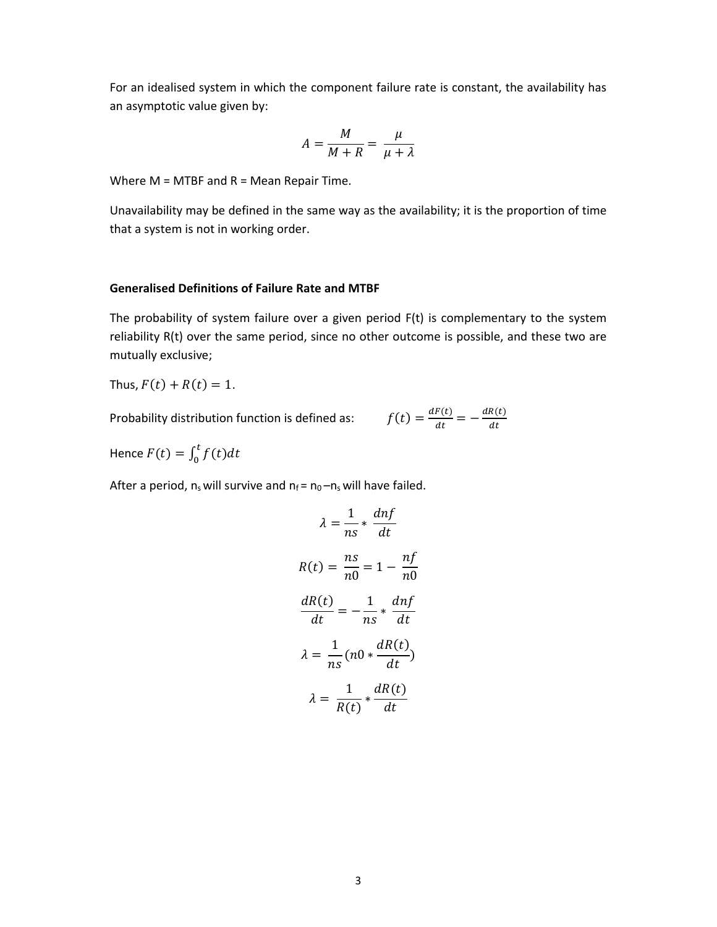For an idealised system in which the component failure rate is constant, the availability has an asymptotic value given by:

$$
A = \frac{M}{M+R} = \frac{\mu}{\mu + \lambda}
$$

Where  $M = MTBF$  and  $R = Mean Repair Time$ .

Unavailability may be defined in the same way as the availability; it is the proportion of time that a system is not in working order.

#### **Generalised Definitions of Failure Rate and MTBF**

The probability of system failure over a given period F(t) is complementary to the system reliability R(t) over the same period, since no other outcome is possible, and these two are mutually exclusive;

Thus,  $F(t) + R(t) = 1$ .

Probability distribution function is defined as:

$$
f(t) = \frac{dF(t)}{dt} = -\frac{dR(t)}{dt}
$$

Hence  $F(t) = \int_0^t f(t) dt$ 

After a period,  $n_s$  will survive and  $n_f = n_0 - n_s$  will have failed.

$$
\lambda = \frac{1}{ns} * \frac{dnf}{dt}
$$

$$
R(t) = \frac{ns}{n0} = 1 - \frac{nf}{n0}
$$

$$
\frac{dR(t)}{dt} = -\frac{1}{ns} * \frac{dnf}{dt}
$$

$$
\lambda = \frac{1}{ns}(n0 * \frac{dR(t)}{dt})
$$

$$
\lambda = \frac{1}{R(t)} * \frac{dR(t)}{dt}
$$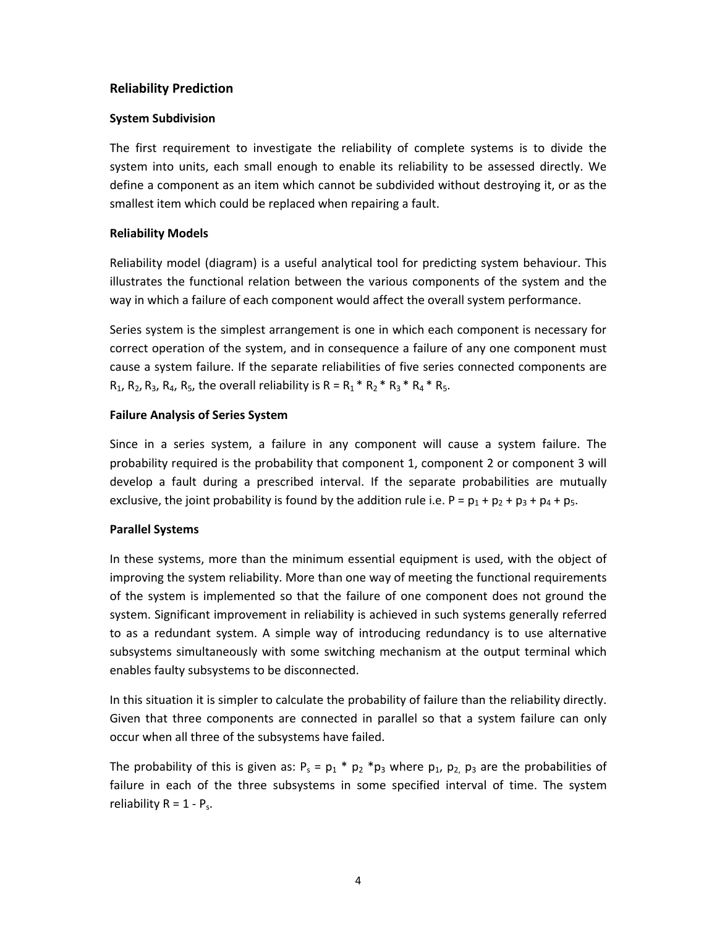## **Reliability Prediction**

### **System Subdivision**

The first requirement to investigate the reliability of complete systems is to divide the system into units, each small enough to enable its reliability to be assessed directly. We define a component as an item which cannot be subdivided without destroying it, or as the smallest item which could be replaced when repairing a fault.

## **Reliability Models**

Reliability model (diagram) is a useful analytical tool for predicting system behaviour. This illustrates the functional relation between the various components of the system and the way in which a failure of each component would affect the overall system performance.

Series system is the simplest arrangement is one in which each component is necessary for correct operation of the system, and in consequence a failure of any one component must cause a system failure. If the separate reliabilities of five series connected components are R<sub>1</sub>, R<sub>2</sub>, R<sub>3</sub>, R<sub>4</sub>, R<sub>5</sub>, the overall reliability is R = R<sub>1</sub> \* R<sub>2</sub> \* R<sub>3</sub> \* R<sub>4</sub> \* R<sub>5</sub>.

## **Failure Analysis of Series System**

Since in a series system, a failure in any component will cause a system failure. The probability required is the probability that component 1, component 2 or component 3 will develop a fault during a prescribed interval. If the separate probabilities are mutually exclusive, the joint probability is found by the addition rule i.e.  $P = p_1 + p_2 + p_3 + p_4 + p_5$ .

### **Parallel Systems**

In these systems, more than the minimum essential equipment is used, with the object of improving the system reliability. More than one way of meeting the functional requirements of the system is implemented so that the failure of one component does not ground the system. Significant improvement in reliability is achieved in such systems generally referred to as a redundant system. A simple way of introducing redundancy is to use alternative subsystems simultaneously with some switching mechanism at the output terminal which enables faulty subsystems to be disconnected.

In this situation it is simpler to calculate the probability of failure than the reliability directly. Given that three components are connected in parallel so that a system failure can only occur when all three of the subsystems have failed.

The probability of this is given as:  $P_s = p_1 * p_2 * p_3$  where  $p_1$ ,  $p_2$ ,  $p_3$  are the probabilities of failure in each of the three subsystems in some specified interval of time. The system reliability  $R = 1 - P_s$ .